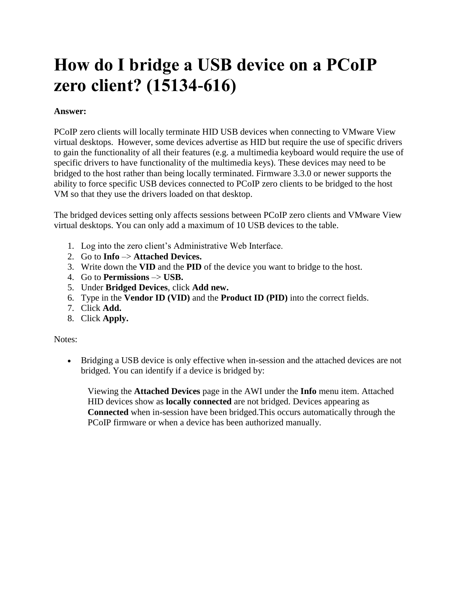## **How do I bridge a USB device on a PCoIP zero client? (15134-616)**

## **Answer:**

PCoIP zero clients will locally terminate HID USB devices when connecting to VMware View virtual desktops. However, some devices advertise as HID but require the use of specific drivers to gain the functionality of all their features (e.g. a multimedia keyboard would require the use of specific drivers to have functionality of the multimedia keys). These devices may need to be bridged to the host rather than being locally terminated. Firmware 3.3.0 or newer supports the ability to force specific USB devices connected to PCoIP zero clients to be bridged to the host VM so that they use the drivers loaded on that desktop.

The bridged devices setting only affects sessions between PCoIP zero clients and VMware View virtual desktops. You can only add a maximum of 10 USB devices to the table.

- 1. Log into the zero client's Administrative Web Interface.
- 2. Go to **Info** –> **Attached Devices.**
- 3. Write down the **VID** and the **PID** of the device you want to bridge to the host.
- 4. Go to **Permissions** –> **USB.**
- 5. Under **Bridged Devices**, click **Add new.**
- 6. Type in the **Vendor ID (VID)** and the **Product ID (PID)** into the correct fields.
- 7. Click **Add.**
- 8. Click **Apply.**

## Notes:

 Bridging a USB device is only effective when in-session and the attached devices are not bridged. You can identify if a device is bridged by:

Viewing the **Attached Devices** page in the AWI under the **Info** menu item. Attached HID devices show as **locally connected** are not bridged. Devices appearing as **Connected** when in-session have been bridged.This occurs automatically through the PCoIP firmware or when a device has been authorized manually.